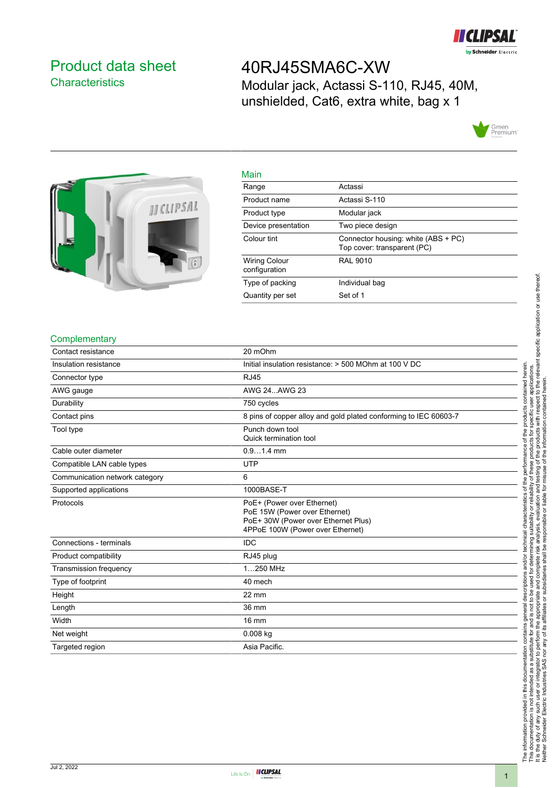

### <span id="page-0-0"></span>Product data sheet **Characteristics**

## 40RJ45SMA6C-XW

Modular jack, Actassi S-110, RJ45, 40M, unshielded, Cat6, extra white, bag x 1





| Main                                  |                                                                    |
|---------------------------------------|--------------------------------------------------------------------|
| Range                                 | Actassi                                                            |
| Product name                          | Actassi S-110                                                      |
| Product type                          | Modular jack                                                       |
| Device presentation                   | Two piece design                                                   |
| Colour tint                           | Connector housing: white (ABS + PC)<br>Top cover: transparent (PC) |
| <b>Wiring Colour</b><br>configuration | <b>RAL 9010</b>                                                    |
| Type of packing                       | Individual bag                                                     |
| Quantity per set                      | Set of 1                                                           |

#### **Complementary**

| Contact resistance             | 20 mOhm                                                                                                                                |
|--------------------------------|----------------------------------------------------------------------------------------------------------------------------------------|
| Insulation resistance          | Initial insulation resistance: > 500 MOhm at 100 V DC                                                                                  |
| Connector type                 | <b>RJ45</b>                                                                                                                            |
| AWG gauge                      | AWG 24AWG 23                                                                                                                           |
| Durability                     | 750 cycles                                                                                                                             |
| Contact pins                   | 8 pins of copper alloy and gold plated conforming to IEC 60603-7                                                                       |
| Tool type                      | Punch down tool<br>Quick termination tool                                                                                              |
| Cable outer diameter           | $0.91.4$ mm                                                                                                                            |
| Compatible LAN cable types     | <b>UTP</b>                                                                                                                             |
| Communication network category | 6                                                                                                                                      |
| Supported applications         | 1000BASE-T                                                                                                                             |
| Protocols                      | PoE+ (Power over Ethernet)<br>PoE 15W (Power over Ethernet)<br>PoE+ 30W (Power over Ethernet Plus)<br>4PPoE 100W (Power over Ethernet) |
| Connections - terminals        | <b>IDC</b>                                                                                                                             |
| Product compatibility          | RJ45 plug                                                                                                                              |
| <b>Transmission frequency</b>  | 1250 MHz                                                                                                                               |
| Type of footprint              | 40 mech                                                                                                                                |
| Height                         | 22 mm                                                                                                                                  |
| Length                         | 36 mm                                                                                                                                  |
| Width                          | 16 mm                                                                                                                                  |
| Net weight                     | $0.008$ kg                                                                                                                             |
| Targeted region                | Asia Pacific.                                                                                                                          |